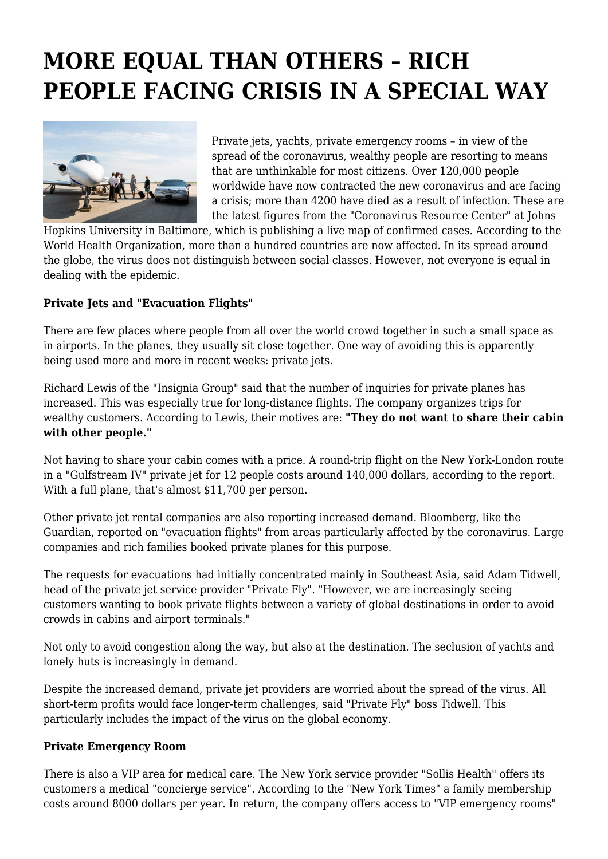## **MORE EQUAL THAN OTHERS – RICH PEOPLE FACING CRISIS IN A SPECIAL WAY**



Private jets, yachts, private emergency rooms – in view of the spread of the coronavirus, wealthy people are resorting to means that are unthinkable for most citizens. Over 120,000 people worldwide have now contracted the new coronavirus and are facing a crisis; more than 4200 have died as a result of infection. These are the latest figures from the "Coronavirus Resource Center" at Johns

Hopkins University in Baltimore, which is publishing a live map of confirmed cases. According to the World Health Organization, more than a hundred countries are now affected. In its spread around the globe, the virus does not distinguish between social classes. However, not everyone is equal in dealing with the epidemic.

## **Private Jets and "Evacuation Flights"**

There are few places where people from all over the world crowd together in such a small space as in airports. In the planes, they usually sit close together. One way of avoiding this is apparently being used more and more in recent weeks: private jets.

Richard Lewis of the "Insignia Group" said that the number of inquiries for private planes has increased. This was especially true for long-distance flights. The company organizes trips for wealthy customers. According to Lewis, their motives are: **"They do not want to share their cabin with other people."**

Not having to share your cabin comes with a price. A round-trip flight on the New York-London route in a "Gulfstream IV" private jet for 12 people costs around 140,000 dollars, according to the report. With a full plane, that's almost \$11,700 per person.

Other private jet rental companies are also reporting increased demand. Bloomberg, like the Guardian, reported on "evacuation flights" from areas particularly affected by the coronavirus. Large companies and rich families booked private planes for this purpose.

The requests for evacuations had initially concentrated mainly in Southeast Asia, said Adam Tidwell, head of the private jet service provider "Private Fly". "However, we are increasingly seeing customers wanting to book private flights between a variety of global destinations in order to avoid crowds in cabins and airport terminals."

Not only to avoid congestion along the way, but also at the destination. The seclusion of yachts and lonely huts is increasingly in demand.

Despite the increased demand, private jet providers are worried about the spread of the virus. All short-term profits would face longer-term challenges, said "Private Fly" boss Tidwell. This particularly includes the impact of the virus on the global economy.

## **Private Emergency Room**

There is also a VIP area for medical care. The New York service provider "Sollis Health" offers its customers a medical "concierge service". According to the "New York Times" a family membership costs around 8000 dollars per year. In return, the company offers access to "VIP emergency rooms"